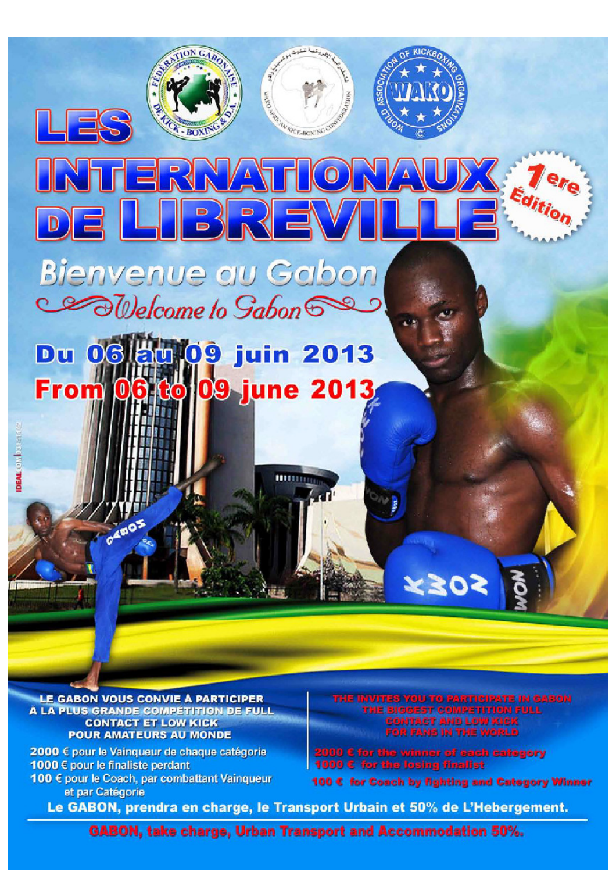

oavm.

**WATCH-BOXING** 

 $10N$  G<sub>4</sub> $2$ 

**BOX** 

LE GABON VOUS CONVIE À PARTICIPER A LA PLUS GRANDE COMPÉTITION DE FULL **CONTACT ET LOW KICK POUR AMATEURS AU MONDE** 

2000 € pour le Vainqueur de chaque catégorie 1000 € pour le finaliste perdant 100 € pour le Coach, par combattant Vainqueur et par Catégorie

INVITES YOU TO PARTICIPATE IN GABON SIGGEST COMPETITION FULL<br>SONTACT AND LOW KICK<br>"OR FANS IN THE WORLD

for the winner of each category<br>for the losing finalist

100 € for Coach by fighting and Category Winner

Le GABON, prendra en charge, le Transport Urbain et 50% de L'Hebergement.

**GABON, take charge, Urban Transport and Accommodation 50%.**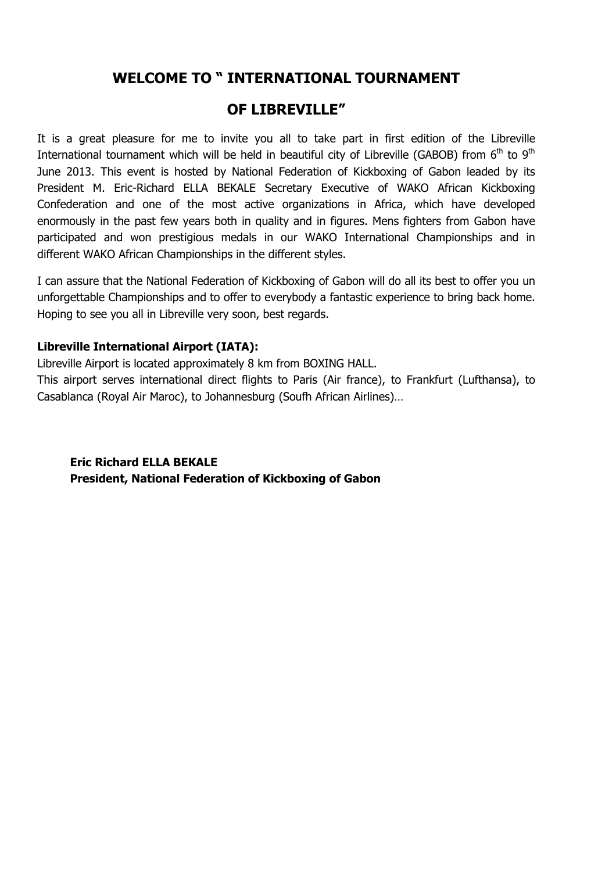## WELCOME TO " INTERNATIONAL TOURNAMENT

## OF LIBREVILLE"

It is a great pleasure for me to invite you all to take part in first edition of the Libreville International tournament which will be held in beautiful city of Libreville (GABOB) from  $6<sup>th</sup>$  to  $9<sup>th</sup>$ June 2013. This event is hosted by National Federation of Kickboxing of Gabon leaded by its President M. Eric-Richard ELLA BEKALE Secretary Executive of WAKO African Kickboxing Confederation and one of the most active organizations in Africa, which have developed enormously in the past few years both in quality and in figures. Mens fighters from Gabon have participated and won prestigious medals in our WAKO International Championships and in different WAKO African Championships in the different styles.

I can assure that the National Federation of Kickboxing of Gabon will do all its best to offer you un unforgettable Championships and to offer to everybody a fantastic experience to bring back home. Hoping to see you all in Libreville very soon, best regards.

### Libreville International Airport (IATA):

Libreville Airport is located approximately 8 km from BOXING HALL.

This airport serves international direct flights to Paris (Air france), to Frankfurt (Lufthansa), to Casablanca (Royal Air Maroc), to Johannesburg (Soufh African Airlines)…

## Eric Richard ELLA BEKALE President, National Federation of Kickboxing of Gabon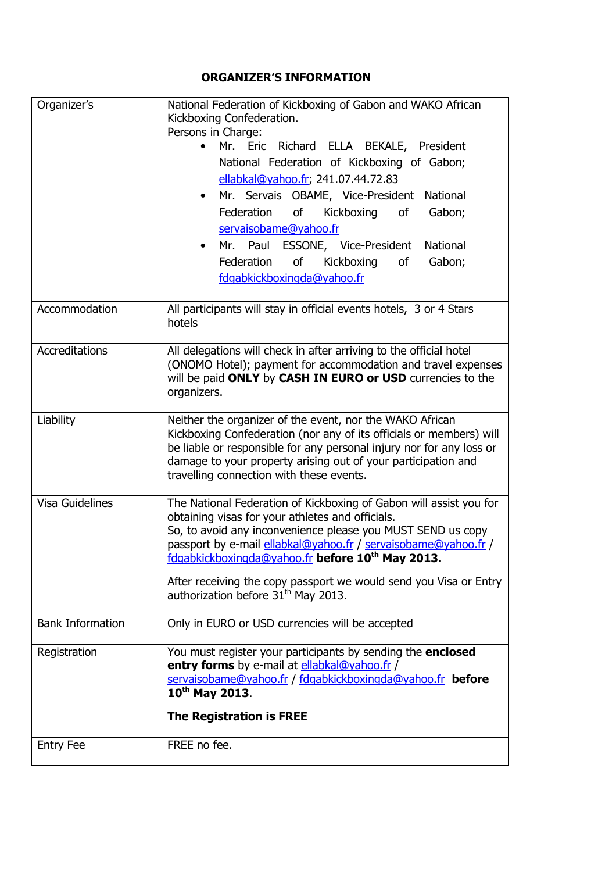## ORGANIZER'S INFORMATION

| Organizer's             | National Federation of Kickboxing of Gabon and WAKO African<br>Kickboxing Confederation.                                                    |  |  |  |  |
|-------------------------|---------------------------------------------------------------------------------------------------------------------------------------------|--|--|--|--|
|                         | Persons in Charge:                                                                                                                          |  |  |  |  |
|                         | Mr. Eric Richard ELLA BEKALE, President                                                                                                     |  |  |  |  |
|                         | National Federation of Kickboxing of Gabon;                                                                                                 |  |  |  |  |
|                         | ellabkal@yahoo.fr; 241.07.44.72.83                                                                                                          |  |  |  |  |
|                         | Mr. Servais OBAME, Vice-President<br>National                                                                                               |  |  |  |  |
|                         | Federation<br>Kickboxing<br>Gabon;<br>of<br>of                                                                                              |  |  |  |  |
|                         | servaisobame@yahoo.fr                                                                                                                       |  |  |  |  |
|                         | Mr. Paul ESSONE, Vice-President<br>National                                                                                                 |  |  |  |  |
|                         | Federation<br>of<br>Kickboxing<br>Gabon;<br>of                                                                                              |  |  |  |  |
|                         | fdgabkickboxingda@yahoo.fr                                                                                                                  |  |  |  |  |
| Accommodation           |                                                                                                                                             |  |  |  |  |
|                         | All participants will stay in official events hotels, 3 or 4 Stars<br>hotels                                                                |  |  |  |  |
|                         |                                                                                                                                             |  |  |  |  |
| Accreditations          | All delegations will check in after arriving to the official hotel                                                                          |  |  |  |  |
|                         | (ONOMO Hotel); payment for accommodation and travel expenses<br>will be paid ONLY by CASH IN EURO or USD currencies to the                  |  |  |  |  |
|                         | organizers.                                                                                                                                 |  |  |  |  |
|                         |                                                                                                                                             |  |  |  |  |
| Liability               | Neither the organizer of the event, nor the WAKO African                                                                                    |  |  |  |  |
|                         | Kickboxing Confederation (nor any of its officials or members) will<br>be liable or responsible for any personal injury nor for any loss or |  |  |  |  |
|                         | damage to your property arising out of your participation and                                                                               |  |  |  |  |
|                         | travelling connection with these events.                                                                                                    |  |  |  |  |
|                         |                                                                                                                                             |  |  |  |  |
| <b>Visa Guidelines</b>  | The National Federation of Kickboxing of Gabon will assist you for<br>obtaining visas for your athletes and officials.                      |  |  |  |  |
|                         | So, to avoid any inconvenience please you MUST SEND us copy                                                                                 |  |  |  |  |
|                         | passport by e-mail ellabkal@yahoo.fr / servaisobame@yahoo.fr /                                                                              |  |  |  |  |
|                         | fdgabkickboxingda@yahoo.fr before 10 <sup>th</sup> May 2013.                                                                                |  |  |  |  |
|                         | After receiving the copy passport we would send you Visa or Entry                                                                           |  |  |  |  |
|                         | authorization before 31 <sup>th</sup> May 2013.                                                                                             |  |  |  |  |
| <b>Bank Information</b> |                                                                                                                                             |  |  |  |  |
|                         | Only in EURO or USD currencies will be accepted                                                                                             |  |  |  |  |
| Registration            | You must register your participants by sending the enclosed                                                                                 |  |  |  |  |
|                         | entry forms by e-mail at ellabkal@yahoo.fr /                                                                                                |  |  |  |  |
|                         | servaisobame@yahoo.fr / fdgabkickboxingda@yahoo.fr before<br>10 <sup>th</sup> May 2013.                                                     |  |  |  |  |
|                         |                                                                                                                                             |  |  |  |  |
|                         | <b>The Registration is FREE</b>                                                                                                             |  |  |  |  |
| <b>Entry Fee</b>        | FREE no fee.                                                                                                                                |  |  |  |  |
|                         |                                                                                                                                             |  |  |  |  |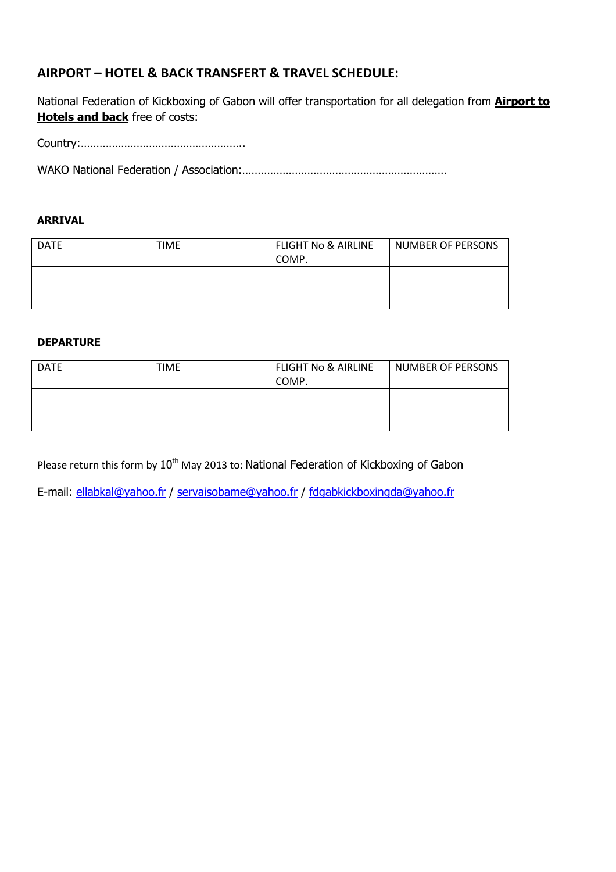## AIRPORT – HOTEL & BACK TRANSFERT & TRAVEL SCHEDULE:

National Federation of Kickboxing of Gabon will offer transportation for all delegation from **Airport to Hotels and back** free of costs:

Country:……………………………………………..

WAKO National Federation / Association:…………………………………………………………

#### ARRIVAL

| <b>DATE</b> | <b>TIME</b> | <b>FLIGHT No &amp; AIRLINE</b> | <b>NUMBER OF PERSONS</b> |
|-------------|-------------|--------------------------------|--------------------------|
|             |             | COMP.                          |                          |
|             |             |                                |                          |
|             |             |                                |                          |
|             |             |                                |                          |

#### DEPARTURE

| <b>DATE</b> | TIME | <b>FLIGHT No &amp; AIRLINE</b><br>COMP. | <b>NUMBER OF PERSONS</b> |
|-------------|------|-----------------------------------------|--------------------------|
|             |      |                                         |                          |

Please return this form by 10<sup>th</sup> May 2013 to: National Federation of Kickboxing of Gabon

E-mail: ellabkal@yahoo.fr / servaisobame@yahoo.fr / fdgabkickboxingda@yahoo.fr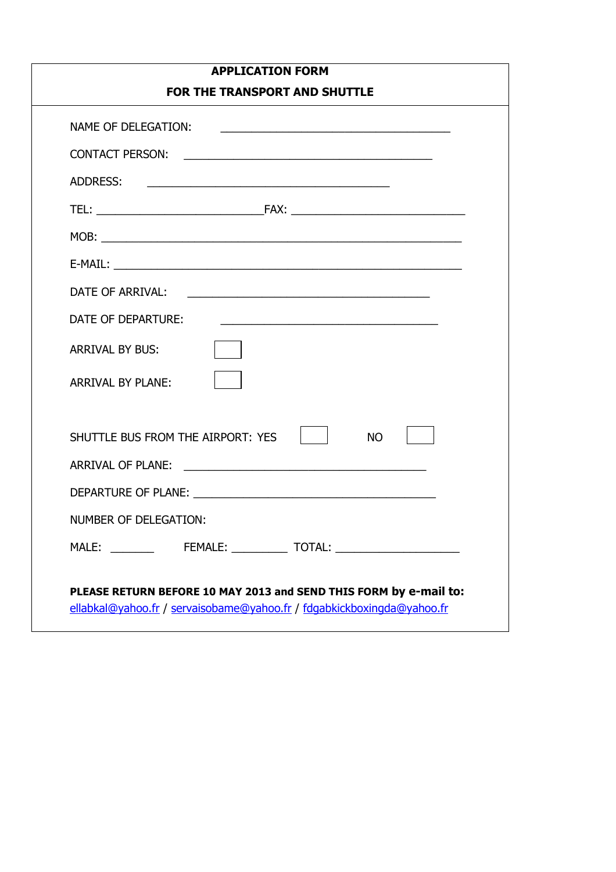|                          | <b>APPLICATION FORM</b>                                                                                               |
|--------------------------|-----------------------------------------------------------------------------------------------------------------------|
|                          | <b>FOR THE TRANSPORT AND SHUTTLE</b>                                                                                  |
|                          |                                                                                                                       |
|                          |                                                                                                                       |
| ADDRESS:                 |                                                                                                                       |
|                          |                                                                                                                       |
|                          |                                                                                                                       |
|                          |                                                                                                                       |
| DATE OF ARRIVAL:         |                                                                                                                       |
| DATE OF DEPARTURE:       | <u> 2000 - Andrea Andrea Andrea Andrea Andrea Andrea Andrea Andrea Andrea Andrea Andrea Andrea Andrea Andrea Andr</u> |
| <b>ARRIVAL BY BUS:</b>   |                                                                                                                       |
| <b>ARRIVAL BY PLANE:</b> |                                                                                                                       |
|                          | SHUTTLE BUS FROM THE AIRPORT: YES<br><b>NO</b>                                                                        |
|                          | ARRIVAL OF PLANE:                                                                                                     |
|                          |                                                                                                                       |
| NUMBER OF DELEGATION:    |                                                                                                                       |
|                          | MALE: __________  FEMALE: _____________ TOTAL: _________________________________                                      |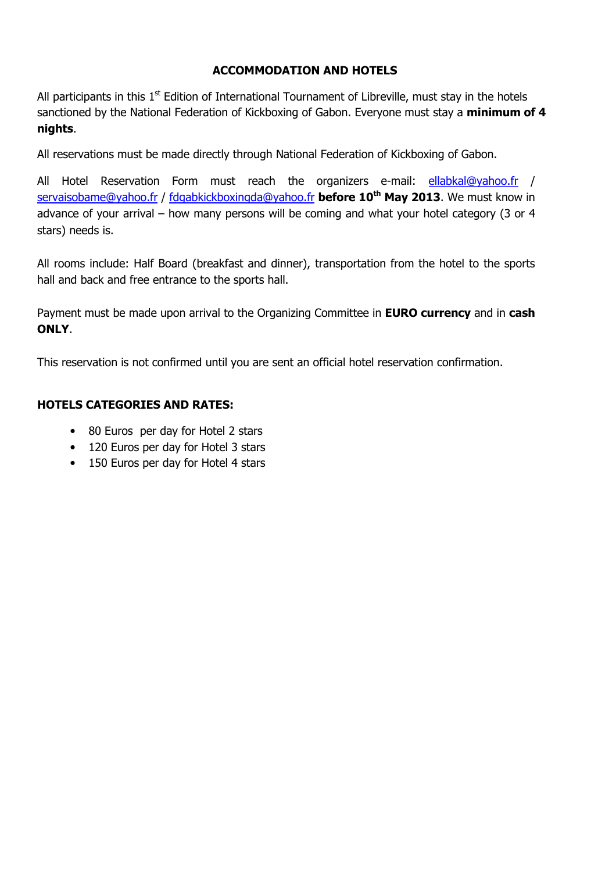## ACCOMMODATION AND HOTELS

All participants in this  $1<sup>st</sup>$  Edition of International Tournament of Libreville, must stay in the hotels sanctioned by the National Federation of Kickboxing of Gabon. Everyone must stay a minimum of 4 nights.

All reservations must be made directly through National Federation of Kickboxing of Gabon.

All Hotel Reservation Form must reach the organizers e-mail: ellabkal@yahoo.fr / servaisobame@yahoo.fr / fdgabkickboxingda@yahoo.fr before 10<sup>th</sup> May 2013. We must know in advance of your arrival – how many persons will be coming and what your hotel category (3 or 4 stars) needs is.

All rooms include: Half Board (breakfast and dinner), transportation from the hotel to the sports hall and back and free entrance to the sports hall.

Payment must be made upon arrival to the Organizing Committee in **EURO currency** and in **cash** ONLY.

This reservation is not confirmed until you are sent an official hotel reservation confirmation.

### HOTELS CATEGORIES AND RATES:

- 80 Euros per day for Hotel 2 stars
- 120 Euros per day for Hotel 3 stars
- 150 Euros per day for Hotel 4 stars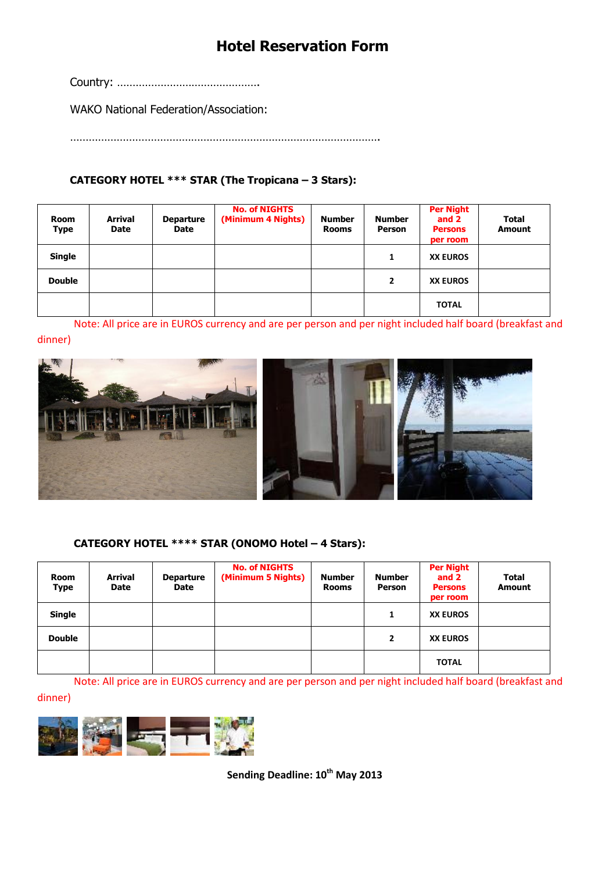# Hotel Reservation Form

Country: ……………………………………….

WAKO National Federation/Association:

……………………………………………………………………………………….

## CATEGORY HOTEL \*\*\* STAR (The Tropicana – 3 Stars):

| Room<br>Type  | Arrival<br>Date | <b>Departure</b><br>Date | <b>No. of NIGHTS</b><br>(Minimum 4 Nights) | <b>Number</b><br><b>Rooms</b> | <b>Number</b><br><b>Person</b> | <b>Per Night</b><br>and 2<br><b>Persons</b><br>per room | <b>Total</b><br><b>Amount</b> |
|---------------|-----------------|--------------------------|--------------------------------------------|-------------------------------|--------------------------------|---------------------------------------------------------|-------------------------------|
| <b>Single</b> |                 |                          |                                            |                               | 1                              | <b>XX EUROS</b>                                         |                               |
| <b>Double</b> |                 |                          |                                            |                               | $\overline{2}$                 | <b>XX EUROS</b>                                         |                               |
|               |                 |                          |                                            |                               |                                | <b>TOTAL</b>                                            |                               |

Note: All price are in EUROS currency and are per person and per night included half board (breakfast and dinner)



#### CATEGORY HOTEL \*\*\*\* STAR (ONOMO Hotel – 4 Stars):

| <b>Room</b><br><b>Type</b> | Arrival<br>Date | <b>Departure</b><br>Date | <b>No. of NIGHTS</b><br>(Minimum 5 Nights) | <b>Number</b><br><b>Rooms</b> | <b>Number</b><br><b>Person</b> | <b>Per Night</b><br>and 2<br><b>Persons</b><br>per room | <b>Total</b><br><b>Amount</b> |
|----------------------------|-----------------|--------------------------|--------------------------------------------|-------------------------------|--------------------------------|---------------------------------------------------------|-------------------------------|
| <b>Single</b>              |                 |                          |                                            |                               | 1                              | <b>XX EUROS</b>                                         |                               |
| <b>Double</b>              |                 |                          |                                            |                               | $\overline{2}$                 | <b>XX EUROS</b>                                         |                               |
|                            |                 |                          |                                            |                               |                                | <b>TOTAL</b>                                            |                               |

Note: All price are in EUROS currency and are per person and per night included half board (breakfast and

dinner)



Sending Deadline: 10<sup>th</sup> May 2013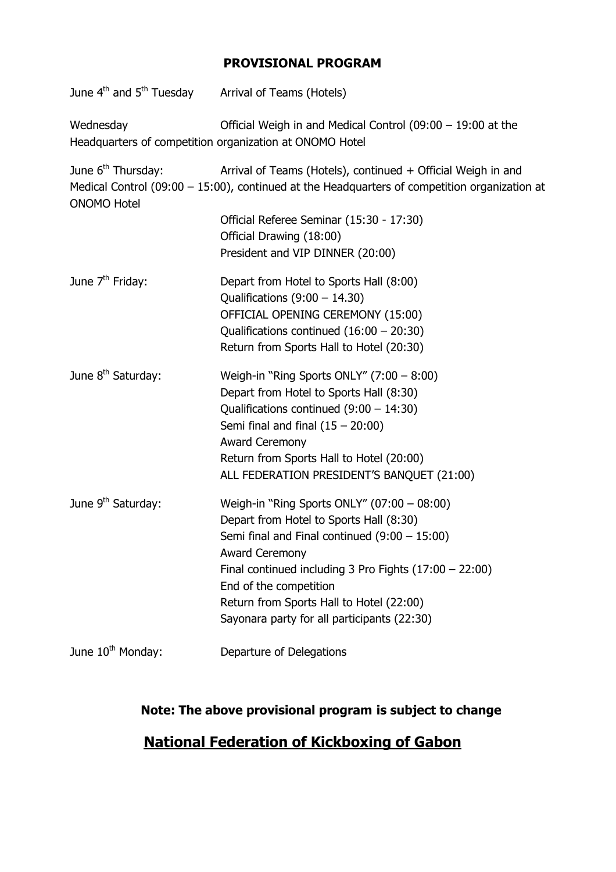## PROVISIONAL PROGRAM

| June 4 <sup>th</sup> and 5 <sup>th</sup> Tuesday     | Arrival of Teams (Hotels)                                                                                                                                       |
|------------------------------------------------------|-----------------------------------------------------------------------------------------------------------------------------------------------------------------|
| Wednesday                                            | Official Weigh in and Medical Control (09:00 $-$ 19:00 at the<br>Headquarters of competition organization at ONOMO Hotel                                        |
| June 6 <sup>th</sup> Thursday:<br><b>ONOMO Hotel</b> | Arrival of Teams (Hotels), continued + Official Weigh in and<br>Medical Control (09:00 $-$ 15:00), continued at the Headquarters of competition organization at |
|                                                      | Official Referee Seminar (15:30 - 17:30)<br>Official Drawing (18:00)                                                                                            |
|                                                      | President and VIP DINNER (20:00)                                                                                                                                |
| June 7 <sup>th</sup> Friday:                         | Depart from Hotel to Sports Hall (8:00)<br>Qualifications $(9:00 - 14.30)$                                                                                      |
|                                                      | OFFICIAL OPENING CEREMONY (15:00)                                                                                                                               |
|                                                      | Qualifications continued $(16:00 - 20:30)$                                                                                                                      |
|                                                      | Return from Sports Hall to Hotel (20:30)                                                                                                                        |
| June 8 <sup>th</sup> Saturday:                       | Weigh-in "Ring Sports ONLY" $(7:00 - 8:00)$                                                                                                                     |
|                                                      | Depart from Hotel to Sports Hall (8:30)                                                                                                                         |
|                                                      | Qualifications continued $(9:00 - 14:30)$<br>Semi final and final $(15 - 20:00)$                                                                                |
|                                                      | <b>Award Ceremony</b>                                                                                                                                           |
|                                                      | Return from Sports Hall to Hotel (20:00)                                                                                                                        |
|                                                      | ALL FEDERATION PRESIDENT'S BANQUET (21:00)                                                                                                                      |
| June 9 <sup>th</sup> Saturday:                       | Weigh-in "Ring Sports ONLY" (07:00 - 08:00)                                                                                                                     |
|                                                      | Depart from Hotel to Sports Hall (8:30)                                                                                                                         |
|                                                      | Semi final and Final continued $(9:00 - 15:00)$                                                                                                                 |
|                                                      | Award Ceremony<br>Final continued including 3 Pro Fights $(17:00 - 22:00)$                                                                                      |
|                                                      | End of the competition                                                                                                                                          |
|                                                      | Return from Sports Hall to Hotel (22:00)                                                                                                                        |
|                                                      | Sayonara party for all participants (22:30)                                                                                                                     |
| June 10 <sup>th</sup> Monday:                        | Departure of Delegations                                                                                                                                        |

# Note: The above provisional program is subject to change

# National Federation of Kickboxing of Gabon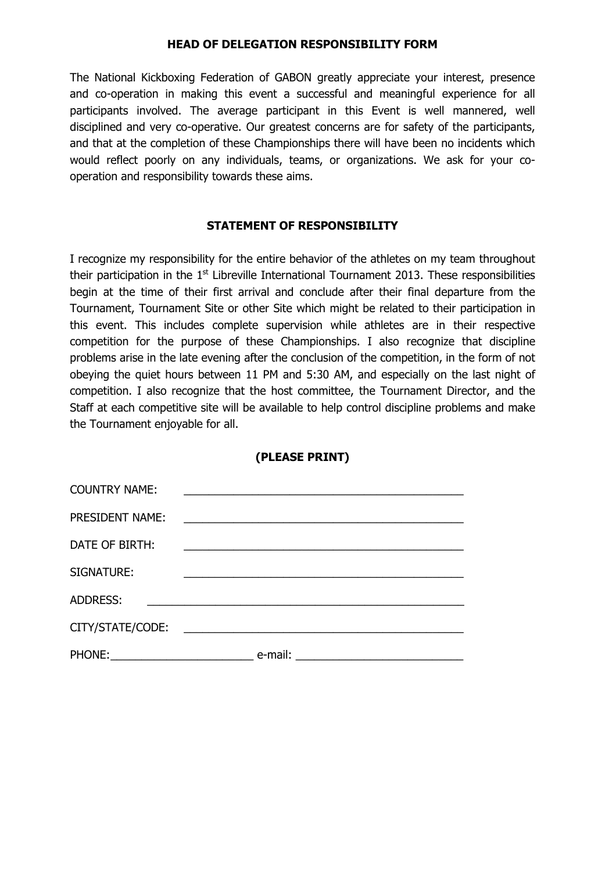#### HEAD OF DELEGATION RESPONSIBILITY FORM

The National Kickboxing Federation of GABON greatly appreciate your interest, presence and co-operation in making this event a successful and meaningful experience for all participants involved. The average participant in this Event is well mannered, well disciplined and very co-operative. Our greatest concerns are for safety of the participants, and that at the completion of these Championships there will have been no incidents which would reflect poorly on any individuals, teams, or organizations. We ask for your cooperation and responsibility towards these aims.

#### STATEMENT OF RESPONSIBILITY

I recognize my responsibility for the entire behavior of the athletes on my team throughout their participation in the  $1<sup>st</sup>$  Libreville International Tournament 2013. These responsibilities begin at the time of their first arrival and conclude after their final departure from the Tournament, Tournament Site or other Site which might be related to their participation in this event. This includes complete supervision while athletes are in their respective competition for the purpose of these Championships. I also recognize that discipline problems arise in the late evening after the conclusion of the competition, in the form of not obeying the quiet hours between 11 PM and 5:30 AM, and especially on the last night of competition. I also recognize that the host committee, the Tournament Director, and the Staff at each competitive site will be available to help control discipline problems and make the Tournament enjoyable for all.

#### (PLEASE PRINT)

| <b>COUNTRY NAME:</b>                                        |                                                                                                                      |  |
|-------------------------------------------------------------|----------------------------------------------------------------------------------------------------------------------|--|
| PRESIDENT NAME:                                             | <u> 1980 - Jan James Barnett, fransk politik (d. 1980)</u>                                                           |  |
| DATE OF BIRTH:                                              |                                                                                                                      |  |
| SIGNATURE:                                                  |                                                                                                                      |  |
| <b>ADDRESS:</b>                                             |                                                                                                                      |  |
| CITY/STATE/CODE:                                            | <u> 1989 - Jan James James James James James James James James James James James James James James James James J</u> |  |
| PHONE:<br><u> 1989 - Johann Barbara, martxa alemaniar a</u> | e-mail:<br><u> 1980 - John Stein, Amerikaansk politiker (</u>                                                        |  |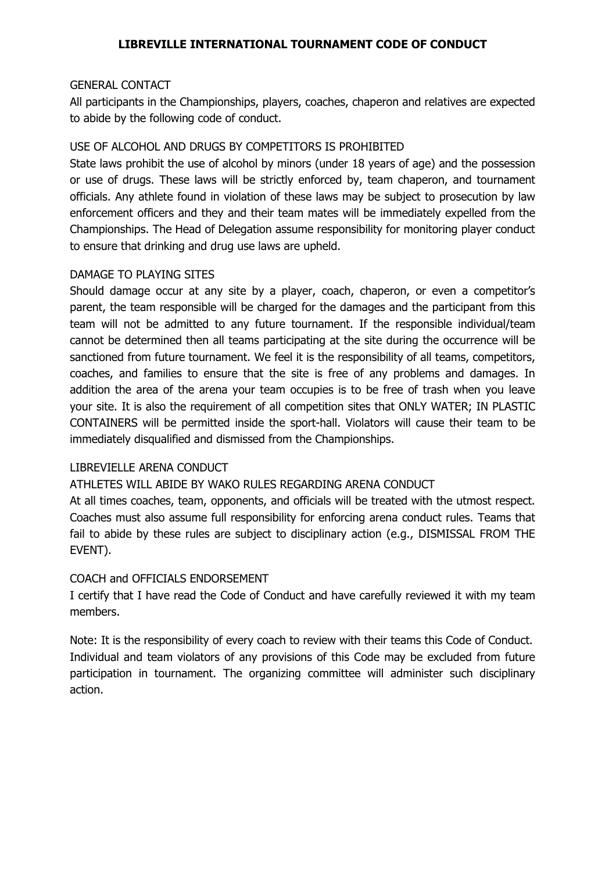### LIBREVILLE INTERNATIONAL TOURNAMENT CODE OF CONDUCT

#### GENERAL CONTACT

All participants in the Championships, players, coaches, chaperon and relatives are expected to abide by the following code of conduct.

#### USE OF ALCOHOL AND DRUGS BY COMPETITORS IS PROHIBITED

State laws prohibit the use of alcohol by minors (under 18 years of age) and the possession or use of drugs. These laws will be strictly enforced by, team chaperon, and tournament officials. Any athlete found in violation of these laws may be subject to prosecution by law enforcement officers and they and their team mates will be immediately expelled from the Championships. The Head of Delegation assume responsibility for monitoring player conduct to ensure that drinking and drug use laws are upheld.

#### DAMAGE TO PLAYING SITES

Should damage occur at any site by a player, coach, chaperon, or even a competitor's parent, the team responsible will be charged for the damages and the participant from this team will not be admitted to any future tournament. If the responsible individual/team cannot be determined then all teams participating at the site during the occurrence will be sanctioned from future tournament. We feel it is the responsibility of all teams, competitors, coaches, and families to ensure that the site is free of any problems and damages. In addition the area of the arena your team occupies is to be free of trash when you leave your site. It is also the requirement of all competition sites that ONLY WATER; IN PLASTIC CONTAINERS will be permitted inside the sport-hall. Violators will cause their team to be immediately disqualified and dismissed from the Championships.

#### LIBREVIELLE ARENA CONDUCT

#### ATHLETES WILL ABIDE BY WAKO RULES REGARDING ARENA CONDUCT

At all times coaches, team, opponents, and officials will be treated with the utmost respect. Coaches must also assume full responsibility for enforcing arena conduct rules. Teams that fail to abide by these rules are subject to disciplinary action (e.g., DISMISSAL FROM THE EVENT).

#### COACH and OFFICIALS ENDORSEMENT

I certify that I have read the Code of Conduct and have carefully reviewed it with my team members.

Note: It is the responsibility of every coach to review with their teams this Code of Conduct. Individual and team violators of any provisions of this Code may be excluded from future participation in tournament. The organizing committee will administer such disciplinary action.